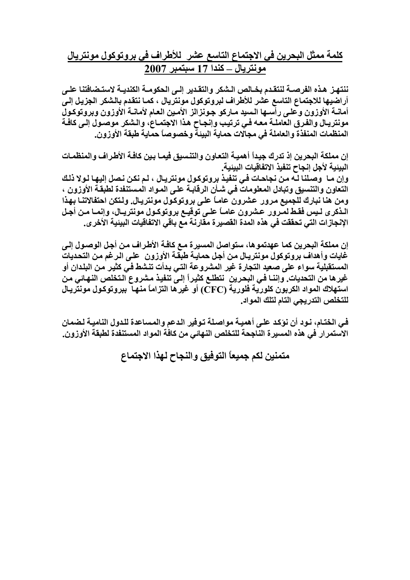**آلمة ممثل البحرين في الاجتماع التاسع عشر للأطراف في بروتوآول مونتريال مونتريال – آندا 17 سبتمبر 2007**

ننتهـز هـذه الفرصــة لنتقـدم بخــالص الـشكر والتقـدير اِلــي الحكومــة الكنديــة لاستـضافتنا علــي أراضيها للاجتماع التاسع عشر للأطراف لبروتوكول مونتريال ، كمـا نتقدم بالشكر الجزيل إل*ي* أمانــة الأوزون وعلـي رأســها الـسيد مــاركو جـونزالز الأمـين الـعـام لأمانــة الأوزون وبروتوكـول **مونتريѧال والفѧرق العاملѧة معѧه فѧي ترتيѧب وإنجѧاح هѧذا الاجتمѧاع، والѧشكر موصѧول إلѧى آافѧة المنظمات المنفذة والعاملة في مجالات حماية البيئة وخصوصاً حماية طبقة الأوزون.**

إن مملكة البحرين إذ تدرك جيداً أهميـة التعـاون والتنسيق فيمـا بـين كافـة الأطـراف والمنظمـات **البيئية لأجل إنجاح تنفيذ الاتفاقيات البيئية.** وإن مـا وصلنا لـه من نجاحـات فـي تنفيذ بروتوكول مونتريـال ، لـم نكن نـصل إليهـا لـولا ذلـك **التعاون والتنسيق وتبادل المعلومات فѧي شѧأن الرقابѧة علѧى المѧواد المѧستنفدة لطبقѧة الأوزون ،** ومن هنا نبارك للجميع مرور عشرون عامـاً علـى بروتوكول مونتريـال. ولـتكن احتفالاتنـا بـهذا الـذكرى لـيس فقـط لمـرور عـشرون عامـاً علـى توقيـع بروتوكـول مونتريـال، وإنمـا مـن أجـل **الإنجازات التي تحققت في هذه المدة القصيرة مقارنة مع باقي الاتفاقيات البيئية الأخرى.**

**إن مملكة البحرين آما عهدتموها، ستواصل المسيرة مѧع آافѧة الأطѧراف مѧن أجѧل الوصѧول إلѧى غايات وأهداف بروتوآول مونتريѧال مѧن أجѧل حمايѧة طبقѧة الأوزون علѧى الѧرغم مѧن التحѧديات المستقبلية سواء على صعيد التجارة غير المشروعة التѧي بѧدأت تنѧشط فѧي آثيѧر مѧن البلѧدان أو** غيرها من التحديات. وإننـا في البحرين نتطلـع كثيراً إلـي تنفيذ مشروع الـتخلص النـهـائي مـن استهلاك المواد الكربون كلورية فلورية (CFC) أو غيرها التزاماً منها ببروتوكول مونتريـال **للتخلص التدريجي التام لتلك المواد.**

**فѧي الختѧام، نѧود أن نؤآѧد علѧى أهميѧة مواصѧلة تѧوفير الѧدعم والمѧساعدة للѧدول الناميѧة لѧضمان الاستمرار في هذه المسيرة الناجحة للتخلص النهائي من آافة المواد المستنفدة لطبقة الأوزون.**

**متمنين لكم جميعاً التوفيق والنجاح لهذا الاجتماع**